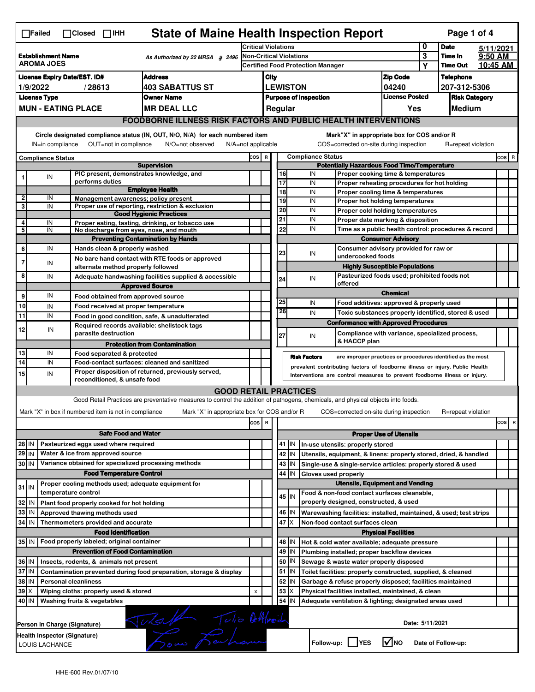| <b>State of Maine Health Inspection Report</b><br>Page 1 of 4<br>$\Box$ Failed<br>$\Box$ Closed $\Box$ IHH |                                                                                                                                                                           |                                                                                                                                     |                                                             |                                                                                                                                   |       |                                                                     |                                                                                                   |            |                                                                              |                                                                                   |                 |                      |           |       |   |  |  |  |
|------------------------------------------------------------------------------------------------------------|---------------------------------------------------------------------------------------------------------------------------------------------------------------------------|-------------------------------------------------------------------------------------------------------------------------------------|-------------------------------------------------------------|-----------------------------------------------------------------------------------------------------------------------------------|-------|---------------------------------------------------------------------|---------------------------------------------------------------------------------------------------|------------|------------------------------------------------------------------------------|-----------------------------------------------------------------------------------|-----------------|----------------------|-----------|-------|---|--|--|--|
|                                                                                                            |                                                                                                                                                                           |                                                                                                                                     |                                                             |                                                                                                                                   |       | <b>Critical Violations</b>                                          |                                                                                                   |            |                                                                              |                                                                                   |                 | <b>Date</b>          | 5/11/2021 |       |   |  |  |  |
|                                                                                                            | <b>Establishment Name</b><br>As Authorized by 22 MRSA § 2496<br><b>AROMA JOES</b>                                                                                         |                                                                                                                                     |                                                             |                                                                                                                                   |       | Non-Critical Violations<br><b>Certified Food Protection Manager</b> |                                                                                                   |            |                                                                              |                                                                                   |                 | Time In              | 9:50 AM   |       |   |  |  |  |
|                                                                                                            |                                                                                                                                                                           |                                                                                                                                     |                                                             |                                                                                                                                   |       |                                                                     |                                                                                                   |            |                                                                              |                                                                                   | Υ               | <b>Time Out</b>      | 10:45 AM  |       |   |  |  |  |
|                                                                                                            | <b>Address</b><br><b>License Expiry Date/EST. ID#</b>                                                                                                                     |                                                                                                                                     |                                                             |                                                                                                                                   |       |                                                                     | City                                                                                              |            |                                                                              | <b>Zip Code</b>                                                                   |                 | <b>Telephone</b>     |           |       |   |  |  |  |
|                                                                                                            | <b>403 SABATTUS ST</b><br>1/9/2022<br>/28613                                                                                                                              |                                                                                                                                     |                                                             |                                                                                                                                   |       |                                                                     | <b>LEWISTON</b><br>04240<br>207-312-5306<br><b>License Posted</b><br><b>Purpose of Inspection</b> |            |                                                                              |                                                                                   |                 |                      |           |       |   |  |  |  |
|                                                                                                            | <b>License Type</b>                                                                                                                                                       |                                                                                                                                     |                                                             | <b>Owner Name</b>                                                                                                                 |       |                                                                     |                                                                                                   |            |                                                                              |                                                                                   |                 | <b>Risk Category</b> |           |       |   |  |  |  |
|                                                                                                            |                                                                                                                                                                           |                                                                                                                                     | <b>MUN - EATING PLACE</b>                                   | <b>MR DEAL LLC</b>                                                                                                                |       |                                                                     |                                                                                                   | Regular    |                                                                              | Yes                                                                               |                 | Medium               |           |       |   |  |  |  |
|                                                                                                            |                                                                                                                                                                           |                                                                                                                                     |                                                             | <b>FOODBORNE ILLNESS RISK FACTORS AND PUBLIC HEALTH INTERVENTIONS</b>                                                             |       |                                                                     |                                                                                                   |            |                                                                              |                                                                                   |                 |                      |           |       |   |  |  |  |
|                                                                                                            | Circle designated compliance status (IN, OUT, N/O, N/A) for each numbered item<br>OUT=not in compliance<br>IN=in compliance<br>N/O=not observed<br>$N/A = not$ applicable |                                                                                                                                     |                                                             |                                                                                                                                   |       |                                                                     |                                                                                                   |            | COS=corrected on-site during inspection                                      | Mark"X" in appropriate box for COS and/or R                                       |                 | R=repeat violation   |           |       |   |  |  |  |
|                                                                                                            | <b>Compliance Status</b>                                                                                                                                                  |                                                                                                                                     |                                                             |                                                                                                                                   | COS R |                                                                     |                                                                                                   |            | <b>Compliance Status</b>                                                     |                                                                                   |                 |                      |           | COS R |   |  |  |  |
|                                                                                                            |                                                                                                                                                                           |                                                                                                                                     |                                                             | <b>Supervision</b>                                                                                                                |       | <b>Potentially Hazardous Food Time/Temperature</b>                  |                                                                                                   |            |                                                                              |                                                                                   |                 |                      |           |       |   |  |  |  |
|                                                                                                            | IN                                                                                                                                                                        |                                                                                                                                     | PIC present, demonstrates knowledge, and<br>performs duties |                                                                                                                                   |       |                                                                     | 16<br>$\overline{17}$                                                                             |            | IN                                                                           | Proper cooking time & temperatures                                                |                 |                      |           |       |   |  |  |  |
|                                                                                                            |                                                                                                                                                                           |                                                                                                                                     |                                                             | <b>Employee Health</b>                                                                                                            |       |                                                                     | 18                                                                                                |            | IN<br>IN                                                                     | Proper reheating procedures for hot holding<br>Proper cooling time & temperatures |                 |                      |           |       |   |  |  |  |
| 2                                                                                                          | IN                                                                                                                                                                        |                                                                                                                                     | Management awareness; policy present                        |                                                                                                                                   |       |                                                                     | 19                                                                                                |            | IN                                                                           | Proper hot holding temperatures                                                   |                 |                      |           |       |   |  |  |  |
| 3                                                                                                          | IN                                                                                                                                                                        |                                                                                                                                     |                                                             | Proper use of reporting, restriction & exclusion                                                                                  |       |                                                                     | $\overline{20}$                                                                                   |            | IN                                                                           | Proper cold holding temperatures                                                  |                 |                      |           |       |   |  |  |  |
| 4                                                                                                          |                                                                                                                                                                           |                                                                                                                                     |                                                             | <b>Good Hygienic Practices</b>                                                                                                    |       |                                                                     | 21                                                                                                |            | IN                                                                           | Proper date marking & disposition                                                 |                 |                      |           |       |   |  |  |  |
| 5                                                                                                          | IN<br>IN                                                                                                                                                                  |                                                                                                                                     | No discharge from eyes, nose, and mouth                     | Proper eating, tasting, drinking, or tobacco use                                                                                  |       |                                                                     | 22                                                                                                |            | IN                                                                           | Time as a public health control: procedures & record                              |                 |                      |           |       |   |  |  |  |
|                                                                                                            |                                                                                                                                                                           |                                                                                                                                     |                                                             | <b>Preventing Contamination by Hands</b>                                                                                          |       |                                                                     |                                                                                                   |            |                                                                              | <b>Consumer Advisory</b>                                                          |                 |                      |           |       |   |  |  |  |
| 6                                                                                                          | IN                                                                                                                                                                        |                                                                                                                                     | Hands clean & properly washed                               |                                                                                                                                   |       |                                                                     |                                                                                                   |            |                                                                              | Consumer advisory provided for raw or                                             |                 |                      |           |       |   |  |  |  |
| 7                                                                                                          |                                                                                                                                                                           |                                                                                                                                     |                                                             | No bare hand contact with RTE foods or approved                                                                                   |       |                                                                     | 23                                                                                                |            | IN<br>undercooked foods                                                      |                                                                                   |                 |                      |           |       |   |  |  |  |
|                                                                                                            | IN                                                                                                                                                                        |                                                                                                                                     | alternate method properly followed                          |                                                                                                                                   |       |                                                                     |                                                                                                   |            |                                                                              | <b>Highly Susceptible Populations</b>                                             |                 |                      |           |       |   |  |  |  |
| 8                                                                                                          | IN                                                                                                                                                                        |                                                                                                                                     |                                                             | Adequate handwashing facilities supplied & accessible                                                                             |       |                                                                     | 24                                                                                                |            | IN                                                                           | Pasteurized foods used; prohibited foods not                                      |                 |                      |           |       |   |  |  |  |
|                                                                                                            |                                                                                                                                                                           |                                                                                                                                     |                                                             | <b>Approved Source</b>                                                                                                            |       |                                                                     |                                                                                                   |            | offered                                                                      |                                                                                   |                 |                      |           |       |   |  |  |  |
| 9                                                                                                          | IN                                                                                                                                                                        |                                                                                                                                     | Food obtained from approved source                          |                                                                                                                                   |       |                                                                     | 25                                                                                                |            | IN                                                                           | <b>Chemical</b>                                                                   |                 |                      |           |       |   |  |  |  |
| 10                                                                                                         | IN                                                                                                                                                                        |                                                                                                                                     | Food received at proper temperature                         |                                                                                                                                   |       |                                                                     | 26                                                                                                |            |                                                                              | Food additives: approved & properly used                                          |                 |                      |           |       |   |  |  |  |
| 11                                                                                                         | IN                                                                                                                                                                        |                                                                                                                                     |                                                             | Food in good condition, safe, & unadulterated                                                                                     |       |                                                                     |                                                                                                   |            | IN                                                                           | Toxic substances properly identified, stored & used                               |                 |                      |           |       |   |  |  |  |
| 12                                                                                                         | IN                                                                                                                                                                        |                                                                                                                                     | Required records available: shellstock tags                 |                                                                                                                                   |       |                                                                     |                                                                                                   |            |                                                                              | <b>Conformance with Approved Procedures</b>                                       |                 |                      |           |       |   |  |  |  |
|                                                                                                            |                                                                                                                                                                           |                                                                                                                                     | parasite destruction                                        |                                                                                                                                   |       |                                                                     | 27                                                                                                |            | IN<br>& HACCP plan                                                           | Compliance with variance, specialized process,                                    |                 |                      |           |       |   |  |  |  |
|                                                                                                            |                                                                                                                                                                           |                                                                                                                                     |                                                             | <b>Protection from Contamination</b>                                                                                              |       |                                                                     |                                                                                                   |            |                                                                              |                                                                                   |                 |                      |           |       |   |  |  |  |
| 13<br>14                                                                                                   | IN<br>IN                                                                                                                                                                  |                                                                                                                                     | Food separated & protected                                  | Food-contact surfaces: cleaned and sanitized                                                                                      |       |                                                                     |                                                                                                   |            | <b>Risk Factors</b>                                                          | are improper practices or procedures identified as the most                       |                 |                      |           |       |   |  |  |  |
|                                                                                                            |                                                                                                                                                                           |                                                                                                                                     |                                                             | Proper disposition of returned, previously served,                                                                                |       |                                                                     |                                                                                                   |            | prevalent contributing factors of foodborne illness or injury. Public Health |                                                                                   |                 |                      |           |       |   |  |  |  |
| 15                                                                                                         | IN                                                                                                                                                                        |                                                                                                                                     | reconditioned, & unsafe food                                |                                                                                                                                   |       |                                                                     |                                                                                                   |            | Interventions are control measures to prevent foodborne illness or injury.   |                                                                                   |                 |                      |           |       |   |  |  |  |
|                                                                                                            |                                                                                                                                                                           |                                                                                                                                     |                                                             | <b>GOOD RETAIL PRACTICES</b>                                                                                                      |       |                                                                     |                                                                                                   |            |                                                                              |                                                                                   |                 |                      |           |       |   |  |  |  |
|                                                                                                            |                                                                                                                                                                           |                                                                                                                                     |                                                             | Good Retail Practices are preventative measures to control the addition of pathogens, chemicals, and physical objects into foods. |       |                                                                     |                                                                                                   |            |                                                                              |                                                                                   |                 |                      |           |       |   |  |  |  |
|                                                                                                            |                                                                                                                                                                           |                                                                                                                                     | Mark "X" in box if numbered item is not in compliance       | Mark "X" in appropriate box for COS and/or R                                                                                      |       |                                                                     |                                                                                                   |            | COS=corrected on-site during inspection                                      |                                                                                   |                 | R=repeat violation   |           |       |   |  |  |  |
|                                                                                                            |                                                                                                                                                                           |                                                                                                                                     |                                                             |                                                                                                                                   | cos   | R                                                                   |                                                                                                   |            |                                                                              |                                                                                   |                 |                      |           | cos   | R |  |  |  |
|                                                                                                            |                                                                                                                                                                           |                                                                                                                                     | <b>Safe Food and Water</b>                                  |                                                                                                                                   |       |                                                                     |                                                                                                   |            |                                                                              | <b>Proper Use of Utensils</b>                                                     |                 |                      |           |       |   |  |  |  |
| 28 IN                                                                                                      |                                                                                                                                                                           |                                                                                                                                     | Pasteurized eggs used where required                        |                                                                                                                                   |       |                                                                     |                                                                                                   | 41 IN      | In-use utensils: properly stored                                             |                                                                                   |                 |                      |           |       |   |  |  |  |
| 29 IN                                                                                                      |                                                                                                                                                                           |                                                                                                                                     | Water & ice from approved source                            |                                                                                                                                   |       |                                                                     |                                                                                                   | 42 IN      | Utensils, equipment, & linens: properly stored, dried, & handled             |                                                                                   |                 |                      |           |       |   |  |  |  |
| 30 IN                                                                                                      |                                                                                                                                                                           |                                                                                                                                     | Variance obtained for specialized processing methods        |                                                                                                                                   |       |                                                                     |                                                                                                   | 43   IN    | Single-use & single-service articles: properly stored & used                 |                                                                                   |                 |                      |           |       |   |  |  |  |
|                                                                                                            |                                                                                                                                                                           |                                                                                                                                     | <b>Food Temperature Control</b>                             |                                                                                                                                   |       |                                                                     | 44                                                                                                | IN         | Gloves used properly                                                         |                                                                                   |                 |                      |           |       |   |  |  |  |
|                                                                                                            |                                                                                                                                                                           |                                                                                                                                     | Proper cooling methods used; adequate equipment for         |                                                                                                                                   |       |                                                                     |                                                                                                   |            |                                                                              | <b>Utensils, Equipment and Vending</b>                                            |                 |                      |           |       |   |  |  |  |
| $31$ IN                                                                                                    |                                                                                                                                                                           |                                                                                                                                     | temperature control                                         |                                                                                                                                   |       |                                                                     |                                                                                                   |            | Food & non-food contact surfaces cleanable,                                  |                                                                                   |                 |                      |           |       |   |  |  |  |
| 32                                                                                                         | IN                                                                                                                                                                        |                                                                                                                                     | Plant food properly cooked for hot holding                  |                                                                                                                                   |       |                                                                     |                                                                                                   | 45 IN      | properly designed, constructed, & used                                       |                                                                                   |                 |                      |           |       |   |  |  |  |
| 33                                                                                                         | IN                                                                                                                                                                        |                                                                                                                                     | Approved thawing methods used                               |                                                                                                                                   |       |                                                                     |                                                                                                   | 46   IN    | Warewashing facilities: installed, maintained, & used; test strips           |                                                                                   |                 |                      |           |       |   |  |  |  |
| 34 IN                                                                                                      |                                                                                                                                                                           |                                                                                                                                     | Thermometers provided and accurate                          |                                                                                                                                   |       |                                                                     | 47                                                                                                | ΙX         | Non-food contact surfaces clean                                              |                                                                                   |                 |                      |           |       |   |  |  |  |
|                                                                                                            |                                                                                                                                                                           |                                                                                                                                     | <b>Food Identification</b>                                  |                                                                                                                                   |       |                                                                     |                                                                                                   |            |                                                                              | <b>Physical Facilities</b>                                                        |                 |                      |           |       |   |  |  |  |
|                                                                                                            | Food properly labeled; original container<br>35 IN<br>48<br>ΙN<br>Hot & cold water available; adequate pressure                                                           |                                                                                                                                     |                                                             |                                                                                                                                   |       |                                                                     |                                                                                                   |            |                                                                              |                                                                                   |                 |                      |           |       |   |  |  |  |
|                                                                                                            |                                                                                                                                                                           |                                                                                                                                     | <b>Prevention of Food Contamination</b>                     |                                                                                                                                   |       |                                                                     |                                                                                                   | 49 IN      | Plumbing installed; proper backflow devices                                  |                                                                                   |                 |                      |           |       |   |  |  |  |
|                                                                                                            | 36 IN<br>Insects, rodents, & animals not present                                                                                                                          |                                                                                                                                     |                                                             |                                                                                                                                   |       |                                                                     |                                                                                                   | 50<br>  IN | Sewage & waste water properly disposed                                       |                                                                                   |                 |                      |           |       |   |  |  |  |
|                                                                                                            | 37 IN<br>51 J IN<br>Contamination prevented during food preparation, storage & display<br>Toilet facilities: properly constructed, supplied, & cleaned                    |                                                                                                                                     |                                                             |                                                                                                                                   |       |                                                                     |                                                                                                   |            |                                                                              |                                                                                   |                 |                      |           |       |   |  |  |  |
|                                                                                                            | 38 IN<br>52<br><b>Personal cleanliness</b><br>Garbage & refuse properly disposed; facilities maintained<br>IN                                                             |                                                                                                                                     |                                                             |                                                                                                                                   |       |                                                                     |                                                                                                   |            |                                                                              |                                                                                   |                 |                      |           |       |   |  |  |  |
|                                                                                                            | 53<br>$39$ $\times$<br>X<br>Wiping cloths: properly used & stored<br>Physical facilities installed, maintained, & clean<br>X                                              |                                                                                                                                     |                                                             |                                                                                                                                   |       |                                                                     |                                                                                                   |            |                                                                              |                                                                                   |                 |                      |           |       |   |  |  |  |
|                                                                                                            | 54<br>40 IN<br>Washing fruits & vegetables<br>Adequate ventilation & lighting; designated areas used<br>IN                                                                |                                                                                                                                     |                                                             |                                                                                                                                   |       |                                                                     |                                                                                                   |            |                                                                              |                                                                                   |                 |                      |           |       |   |  |  |  |
|                                                                                                            |                                                                                                                                                                           |                                                                                                                                     |                                                             |                                                                                                                                   |       |                                                                     |                                                                                                   |            |                                                                              |                                                                                   |                 |                      |           |       |   |  |  |  |
|                                                                                                            |                                                                                                                                                                           |                                                                                                                                     | Person in Charge (Signature)                                |                                                                                                                                   |       |                                                                     |                                                                                                   |            |                                                                              |                                                                                   | Date: 5/11/2021 |                      |           |       |   |  |  |  |
|                                                                                                            |                                                                                                                                                                           |                                                                                                                                     |                                                             |                                                                                                                                   |       |                                                                     |                                                                                                   |            |                                                                              |                                                                                   |                 |                      |           |       |   |  |  |  |
|                                                                                                            |                                                                                                                                                                           | Tutalle Tutio Atthed<br>Health Inspector (Signature)<br>$\sqrt{ }$ NO<br>Follow-up:     YES<br>Date of Follow-up:<br>LOUIS LACHANCE |                                                             |                                                                                                                                   |       |                                                                     |                                                                                                   |            |                                                                              |                                                                                   |                 |                      |           |       |   |  |  |  |
|                                                                                                            |                                                                                                                                                                           |                                                                                                                                     |                                                             |                                                                                                                                   |       |                                                                     |                                                                                                   |            |                                                                              |                                                                                   |                 |                      |           |       |   |  |  |  |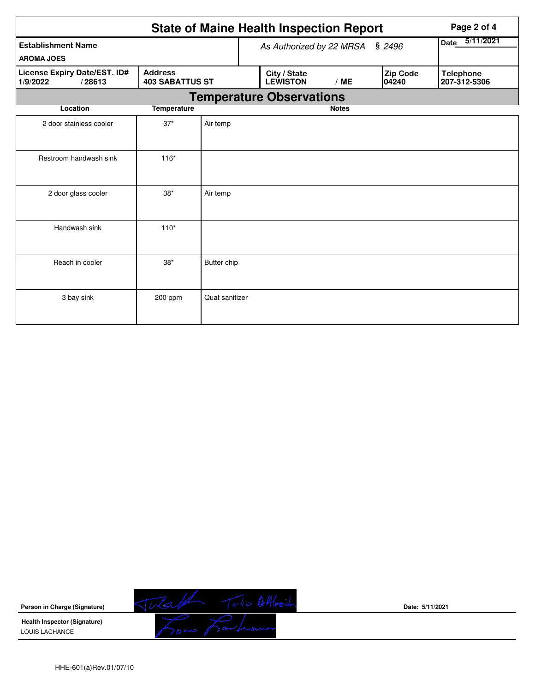|                                                                                                | Page 2 of 4                        |                    |  |                                 |              |                   |                   |                                  |  |  |
|------------------------------------------------------------------------------------------------|------------------------------------|--------------------|--|---------------------------------|--------------|-------------------|-------------------|----------------------------------|--|--|
| <b>Establishment Name</b><br><b>AROMA JOES</b>                                                 | \$2496<br>As Authorized by 22 MRSA |                    |  |                                 |              | 5/11/2021<br>Date |                   |                                  |  |  |
| License Expiry Date/EST. ID#<br><b>Address</b><br><b>403 SABATTUS ST</b><br>/28613<br>1/9/2022 |                                    |                    |  | City / State<br><b>LEWISTON</b> | /ME          |                   | Zip Code<br>04240 | <b>Telephone</b><br>207-312-5306 |  |  |
| <b>Temperature Observations</b>                                                                |                                    |                    |  |                                 |              |                   |                   |                                  |  |  |
| <b>Location</b>                                                                                | <b>Temperature</b>                 |                    |  |                                 | <b>Notes</b> |                   |                   |                                  |  |  |
| 2 door stainless cooler                                                                        | $37*$                              | Air temp           |  |                                 |              |                   |                   |                                  |  |  |
| Restroom handwash sink                                                                         | $116*$                             |                    |  |                                 |              |                   |                   |                                  |  |  |
| 2 door glass cooler                                                                            | $38*$                              | Air temp           |  |                                 |              |                   |                   |                                  |  |  |
| Handwash sink                                                                                  | $110*$                             |                    |  |                                 |              |                   |                   |                                  |  |  |
| Reach in cooler                                                                                | $38*$                              | <b>Butter chip</b> |  |                                 |              |                   |                   |                                  |  |  |
| 3 bay sink                                                                                     | 200 ppm                            | Quat sanitizer     |  |                                 |              |                   |                   |                                  |  |  |



**Date: 5/11/2021**

HHE-601(a)Rev.01/07/10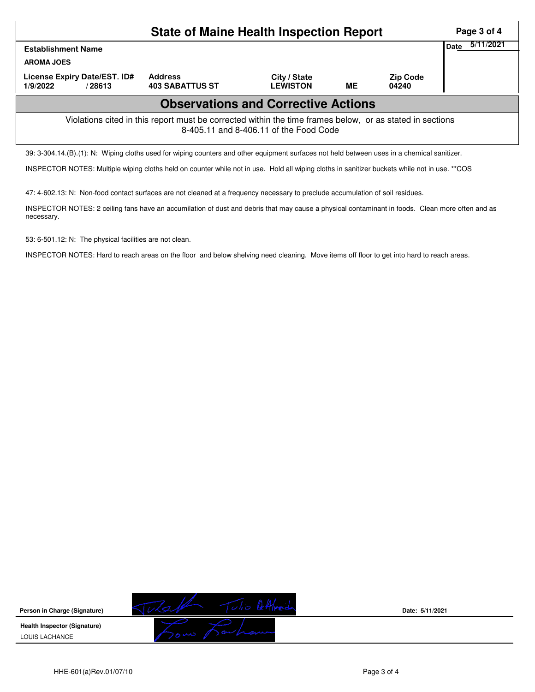| <b>State of Maine Health Inspection Report</b>                                                                                                     |                                          |                                 |    |                          |  |  |  |  |  |  |
|----------------------------------------------------------------------------------------------------------------------------------------------------|------------------------------------------|---------------------------------|----|--------------------------|--|--|--|--|--|--|
| Date<br><b>Establishment Name</b><br><b>AROMA JOES</b>                                                                                             |                                          |                                 |    |                          |  |  |  |  |  |  |
| License Expiry Date/EST. ID#<br>1/9/2022<br>/28613                                                                                                 | <b>Address</b><br><b>403 SABATTUS ST</b> | City / State<br><b>LEWISTON</b> | ME | <b>Zip Code</b><br>04240 |  |  |  |  |  |  |
| <b>Observations and Corrective Actions</b>                                                                                                         |                                          |                                 |    |                          |  |  |  |  |  |  |
| Violations cited in this report must be corrected within the time frames below, or as stated in sections<br>8-405.11 and 8-406.11 of the Food Code |                                          |                                 |    |                          |  |  |  |  |  |  |
| 39: 3-304.14.(B).(1): N: Wiping cloths used for wiping counters and other equipment surfaces not held between uses in a chemical sanitizer.        |                                          |                                 |    |                          |  |  |  |  |  |  |

INSPECTOR NOTES: Multiple wiping cloths held on counter while not in use. Hold all wiping cloths in sanitizer buckets while not in use. \*\*COS

47: 4-602.13: N: Non-food contact surfaces are not cleaned at a frequency necessary to preclude accumulation of soil residues.

INSPECTOR NOTES: 2 ceiling fans have an accumilation of dust and debris that may cause a physical contaminant in foods. Clean more often and as necessary.

53: 6-501.12: N: The physical facilities are not clean.

INSPECTOR NOTES: Hard to reach areas on the floor and below shelving need cleaning. Move items off floor to get into hard to reach areas.



**Date: 5/11/2021**

HHE-601(a)Rev.01/07/10 Page 3 of 4